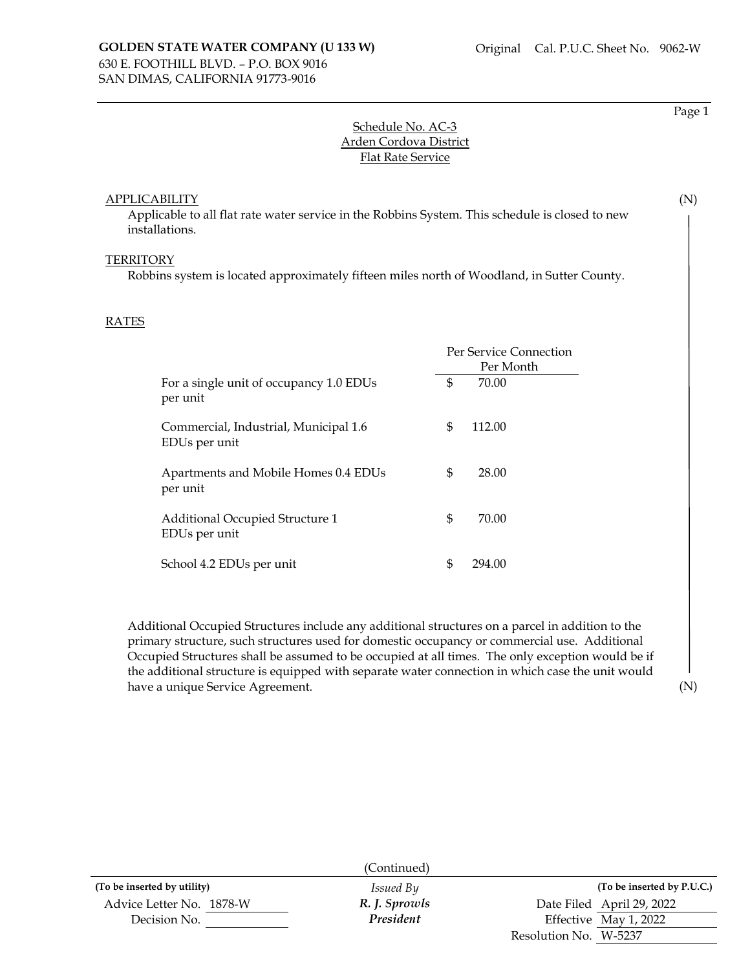Page 1

(N)

# Schedule No. AC-3 Arden Cordova District Flat Rate Service

### APPLICABILITY

Applicable to all flat rate water service in the Robbins System. This schedule is closed to new installations.

#### **TERRITORY**

Robbins system is located approximately fifteen miles north of Woodland, in Sutter County.

### RATES

|                                                        |    | Per Service Connection<br>Per Month |  |
|--------------------------------------------------------|----|-------------------------------------|--|
| For a single unit of occupancy 1.0 EDUs<br>per unit    | \$ | 70.00                               |  |
| Commercial, Industrial, Municipal 1.6<br>EDUs per unit | \$ | 112.00                              |  |
| Apartments and Mobile Homes 0.4 EDUs<br>per unit       | \$ | 28.00                               |  |
| Additional Occupied Structure 1<br>EDUs per unit       | \$ | 70.00                               |  |
| School 4.2 EDUs per unit                               | \$ | 294.00                              |  |

Additional Occupied Structures include any additional structures on a parcel in addition to the primary structure, such structures used for domestic occupancy or commercial use. Additional Occupied Structures shall be assumed to be occupied at all times. The only exception would be if the additional structure is equipped with separate water connection in which case the unit would have a unique Service Agreement.

(N)

|                             | (Continued)      |                            |
|-----------------------------|------------------|----------------------------|
| (To be inserted by utility) | <i>Issued By</i> | (To be inserted by P.U.C.) |
| Advice Letter No. 1878-W    | R. J. Sprowls    | Date Filed April 29, 2022  |
| Decision No.                | President        | Effective May 1, 2022      |
|                             |                  | Resolution No. W-5237      |